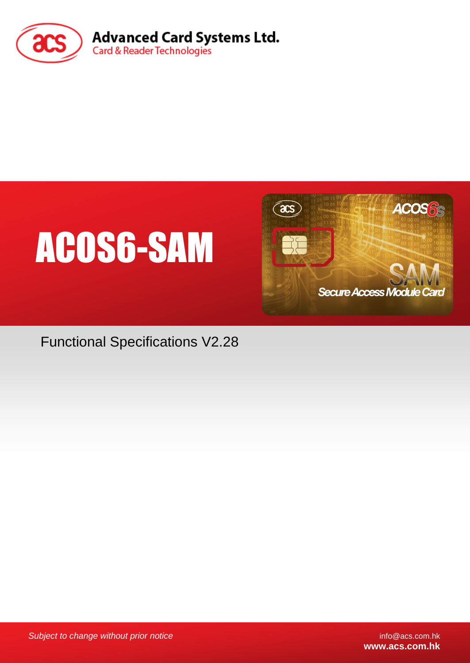





Functional Specifications V2.28

*Subject to change without prior notice* info@acs.com.hk

**www.acs.com.hk**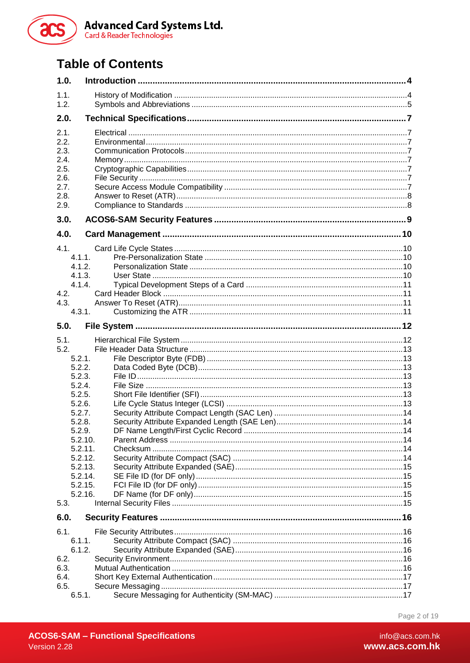

# **Table of Contents**

| 1.0.              |        |  |  |  |  |  |
|-------------------|--------|--|--|--|--|--|
| 1.1.              |        |  |  |  |  |  |
| 1.2.              |        |  |  |  |  |  |
| 2.0.              |        |  |  |  |  |  |
| 2.1.              |        |  |  |  |  |  |
| 2.2.              |        |  |  |  |  |  |
| 2.3.              |        |  |  |  |  |  |
| 2.4.              |        |  |  |  |  |  |
| 2.5.              |        |  |  |  |  |  |
| 2.6.              |        |  |  |  |  |  |
| 2.7.<br>2.8.      |        |  |  |  |  |  |
| 2.9.              |        |  |  |  |  |  |
| 3.0.              |        |  |  |  |  |  |
| 4.0.              |        |  |  |  |  |  |
| 4.1.              |        |  |  |  |  |  |
| $4.1.1$ .         |        |  |  |  |  |  |
| 4.1.2.            |        |  |  |  |  |  |
| 4.1.3.            |        |  |  |  |  |  |
| 4.1.4.            |        |  |  |  |  |  |
| 4.2.              |        |  |  |  |  |  |
| 4.3.              |        |  |  |  |  |  |
|                   | 4.3.1. |  |  |  |  |  |
| 5.0.              |        |  |  |  |  |  |
| 5.1.              |        |  |  |  |  |  |
| 5.2.              |        |  |  |  |  |  |
| 5.2.1.            |        |  |  |  |  |  |
| 5.2.2.<br>5.2.3.  |        |  |  |  |  |  |
| 5.2.4.            |        |  |  |  |  |  |
| 5.2.5.            |        |  |  |  |  |  |
| 5.2.6.            |        |  |  |  |  |  |
| 5.2.7.            |        |  |  |  |  |  |
| 5.2.8.            |        |  |  |  |  |  |
| 5.2.9.<br>5.2.10. |        |  |  |  |  |  |
| 5.2.11.           |        |  |  |  |  |  |
| 5.2.12.           |        |  |  |  |  |  |
| 5.2.13.           |        |  |  |  |  |  |
| 5.2.14.           |        |  |  |  |  |  |
| 5.2.15.           |        |  |  |  |  |  |
| 5.2.16.<br>5.3.   |        |  |  |  |  |  |
|                   |        |  |  |  |  |  |
| 6.0.              |        |  |  |  |  |  |
| 6.1.              |        |  |  |  |  |  |
| 6.1.1.<br>6.1.2.  |        |  |  |  |  |  |
| 6.2.              |        |  |  |  |  |  |
| 6.3.              |        |  |  |  |  |  |
| 6.4.              |        |  |  |  |  |  |
| 6.5.              |        |  |  |  |  |  |
| 6.5.1.            |        |  |  |  |  |  |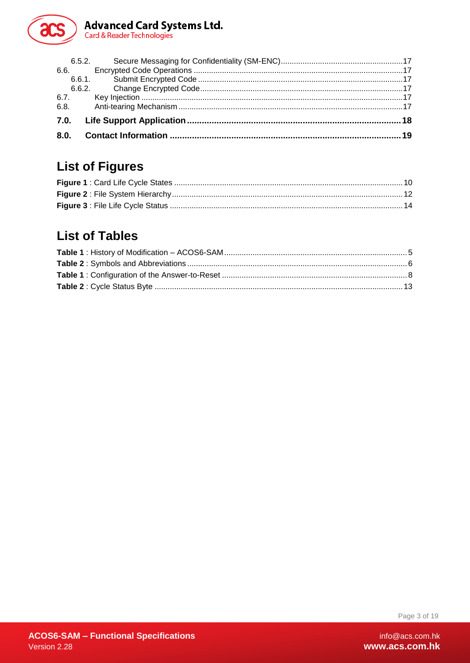

| 6.7. |  |
|------|--|
| 6.8. |  |
|      |  |
| 8.0. |  |

# **List of Figures**

# **List of Tables**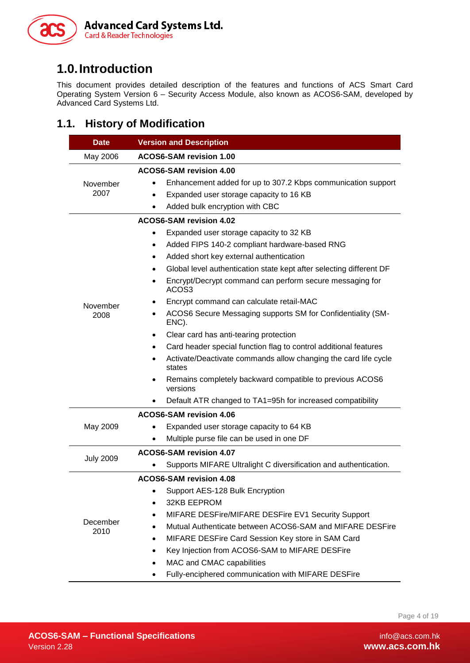

# <span id="page-3-0"></span>**1.0.Introduction**

This document provides detailed description of the features and functions of ACS Smart Card Operating System Version 6 – Security Access Module, also known as ACOS6-SAM, developed by Advanced Card Systems Ltd.

# <span id="page-3-1"></span>**1.1. History of Modification**

| <b>Date</b>      | <b>Version and Description</b>                                                                                                                                                                                                                                                                                                                                                                                                                                                                                                                                                                                                                                                                                                                                                                                                                                    |  |  |  |  |  |  |
|------------------|-------------------------------------------------------------------------------------------------------------------------------------------------------------------------------------------------------------------------------------------------------------------------------------------------------------------------------------------------------------------------------------------------------------------------------------------------------------------------------------------------------------------------------------------------------------------------------------------------------------------------------------------------------------------------------------------------------------------------------------------------------------------------------------------------------------------------------------------------------------------|--|--|--|--|--|--|
| May 2006         | ACOS6-SAM revision 1.00                                                                                                                                                                                                                                                                                                                                                                                                                                                                                                                                                                                                                                                                                                                                                                                                                                           |  |  |  |  |  |  |
| November<br>2007 | <b>ACOS6-SAM revision 4.00</b><br>Enhancement added for up to 307.2 Kbps communication support<br>Expanded user storage capacity to 16 KB<br>$\bullet$<br>Added bulk encryption with CBC                                                                                                                                                                                                                                                                                                                                                                                                                                                                                                                                                                                                                                                                          |  |  |  |  |  |  |
| November<br>2008 | ACOS6-SAM revision 4.02<br>Expanded user storage capacity to 32 KB<br>$\bullet$<br>Added FIPS 140-2 compliant hardware-based RNG<br>$\bullet$<br>Added short key external authentication<br>٠<br>Global level authentication state kept after selecting different DF<br>$\bullet$<br>Encrypt/Decrypt command can perform secure messaging for<br>٠<br>ACOS3<br>Encrypt command can calculate retail-MAC<br>ACOS6 Secure Messaging supports SM for Confidentiality (SM-<br>$\bullet$<br>ENC).<br>Clear card has anti-tearing protection<br>٠<br>Card header special function flag to control additional features<br>٠<br>Activate/Deactivate commands allow changing the card life cycle<br>$\bullet$<br>states<br>Remains completely backward compatible to previous ACOS6<br>$\bullet$<br>versions<br>Default ATR changed to TA1=95h for increased compatibility |  |  |  |  |  |  |
| May 2009         | <b>ACOS6-SAM revision 4.06</b><br>Expanded user storage capacity to 64 KB<br>Multiple purse file can be used in one DF                                                                                                                                                                                                                                                                                                                                                                                                                                                                                                                                                                                                                                                                                                                                            |  |  |  |  |  |  |
| <b>July 2009</b> | ACOS6-SAM revision 4.07<br>Supports MIFARE Ultralight C diversification and authentication.                                                                                                                                                                                                                                                                                                                                                                                                                                                                                                                                                                                                                                                                                                                                                                       |  |  |  |  |  |  |
| December<br>2010 | ACOS6-SAM revision 4.08<br>Support AES-128 Bulk Encryption<br>32KB EEPROM<br>MIFARE DESFire/MIFARE DESFire EV1 Security Support<br>Mutual Authenticate between ACOS6-SAM and MIFARE DESFire<br>٠<br>MIFARE DESFire Card Session Key store in SAM Card<br>$\bullet$<br>Key Injection from ACOS6-SAM to MIFARE DESFire<br>٠<br>MAC and CMAC capabilities<br>$\bullet$<br>Fully-enciphered communication with MIFARE DESFire                                                                                                                                                                                                                                                                                                                                                                                                                                         |  |  |  |  |  |  |

Page 4 of 19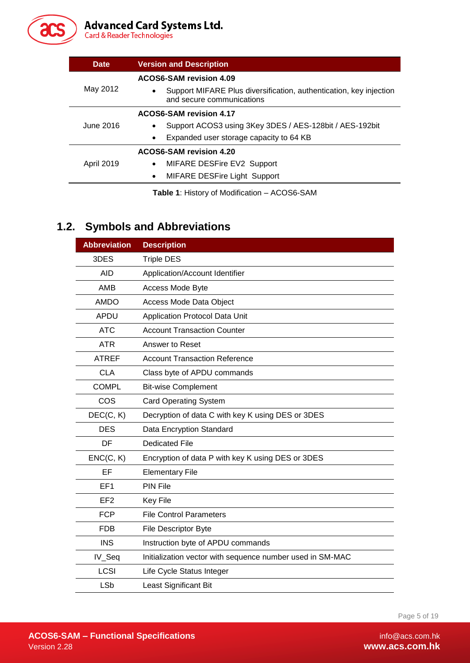

# Advanced Card Systems Ltd.<br>Card & Reader Technologies

| <b>Date</b>       | <b>Version and Description</b>                                                                  |  |  |  |  |  |
|-------------------|-------------------------------------------------------------------------------------------------|--|--|--|--|--|
|                   | ACOS6-SAM revision 4.09                                                                         |  |  |  |  |  |
| May 2012          | Support MIFARE Plus diversification, authentication, key injection<br>and secure communications |  |  |  |  |  |
|                   | ACOS6-SAM revision 4.17                                                                         |  |  |  |  |  |
| June 2016         | Support ACOS3 using 3Key 3DES / AES-128bit / AES-192bit                                         |  |  |  |  |  |
|                   | Expanded user storage capacity to 64 KB<br>$\bullet$                                            |  |  |  |  |  |
|                   | <b>ACOS6-SAM revision 4.20</b>                                                                  |  |  |  |  |  |
| <b>April 2019</b> | MIFARE DESFire EV2 Support<br>$\bullet$                                                         |  |  |  |  |  |
|                   | <b>MIFARE DESFire Light Support</b><br>$\bullet$                                                |  |  |  |  |  |
|                   |                                                                                                 |  |  |  |  |  |

**Table 1**: History of Modification – ACOS6-SAM

# <span id="page-4-1"></span><span id="page-4-0"></span>**1.2. Symbols and Abbreviations**

| <b>Abbreviation</b>                                                 | <b>Description</b>                                |  |  |  |  |
|---------------------------------------------------------------------|---------------------------------------------------|--|--|--|--|
| 3DES                                                                | <b>Triple DES</b>                                 |  |  |  |  |
| <b>AID</b>                                                          | Application/Account Identifier                    |  |  |  |  |
| AMB                                                                 | Access Mode Byte                                  |  |  |  |  |
| <b>AMDO</b>                                                         | Access Mode Data Object                           |  |  |  |  |
| <b>APDU</b>                                                         | Application Protocol Data Unit                    |  |  |  |  |
| <b>ATC</b>                                                          | <b>Account Transaction Counter</b>                |  |  |  |  |
| <b>ATR</b>                                                          | Answer to Reset                                   |  |  |  |  |
| <b>ATREF</b>                                                        | <b>Account Transaction Reference</b>              |  |  |  |  |
| <b>CLA</b>                                                          | Class byte of APDU commands                       |  |  |  |  |
| <b>COMPL</b>                                                        | <b>Bit-wise Complement</b>                        |  |  |  |  |
| COS                                                                 | <b>Card Operating System</b>                      |  |  |  |  |
| DEC(C, K)                                                           | Decryption of data C with key K using DES or 3DES |  |  |  |  |
| <b>DES</b>                                                          | Data Encryption Standard                          |  |  |  |  |
| DF                                                                  | <b>Dedicated File</b>                             |  |  |  |  |
| ENC(C, K)                                                           | Encryption of data P with key K using DES or 3DES |  |  |  |  |
| EF                                                                  | <b>Elementary File</b>                            |  |  |  |  |
| EF <sub>1</sub>                                                     | <b>PIN File</b>                                   |  |  |  |  |
| EF <sub>2</sub>                                                     | Key File                                          |  |  |  |  |
| <b>FCP</b>                                                          | <b>File Control Parameters</b>                    |  |  |  |  |
| <b>FDB</b>                                                          | File Descriptor Byte                              |  |  |  |  |
| <b>INS</b>                                                          | Instruction byte of APDU commands                 |  |  |  |  |
| IV_Seq<br>Initialization vector with sequence number used in SM-MAC |                                                   |  |  |  |  |
| <b>LCSI</b>                                                         | Life Cycle Status Integer                         |  |  |  |  |
| <b>LSb</b>                                                          | Least Significant Bit                             |  |  |  |  |

Page 5 of 19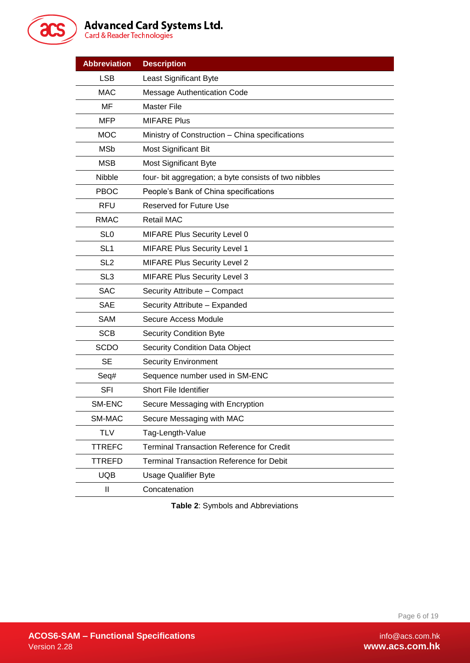

# Advanced Card Systems Ltd.<br>Card & Reader Technologies

| <b>Abbreviation</b> | <b>Description</b>                                    |  |  |  |  |  |
|---------------------|-------------------------------------------------------|--|--|--|--|--|
| <b>LSB</b>          | Least Significant Byte                                |  |  |  |  |  |
| <b>MAC</b>          | <b>Message Authentication Code</b>                    |  |  |  |  |  |
| MF                  | <b>Master File</b>                                    |  |  |  |  |  |
| <b>MFP</b>          | <b>MIFARE Plus</b>                                    |  |  |  |  |  |
| <b>MOC</b>          | Ministry of Construction - China specifications       |  |  |  |  |  |
| <b>MSb</b>          | Most Significant Bit                                  |  |  |  |  |  |
| <b>MSB</b>          | <b>Most Significant Byte</b>                          |  |  |  |  |  |
| Nibble              | four- bit aggregation; a byte consists of two nibbles |  |  |  |  |  |
| <b>PBOC</b>         | People's Bank of China specifications                 |  |  |  |  |  |
| <b>RFU</b>          | <b>Reserved for Future Use</b>                        |  |  |  |  |  |
| <b>RMAC</b>         | <b>Retail MAC</b>                                     |  |  |  |  |  |
| SL <sub>0</sub>     | <b>MIFARE Plus Security Level 0</b>                   |  |  |  |  |  |
| SL <sub>1</sub>     | <b>MIFARE Plus Security Level 1</b>                   |  |  |  |  |  |
| SL <sub>2</sub>     | <b>MIFARE Plus Security Level 2</b>                   |  |  |  |  |  |
| SL <sub>3</sub>     | <b>MIFARE Plus Security Level 3</b>                   |  |  |  |  |  |
| <b>SAC</b>          | Security Attribute - Compact                          |  |  |  |  |  |
| <b>SAE</b>          | Security Attribute - Expanded                         |  |  |  |  |  |
| SAM                 | Secure Access Module                                  |  |  |  |  |  |
| <b>SCB</b>          | <b>Security Condition Byte</b>                        |  |  |  |  |  |
| <b>SCDO</b>         | <b>Security Condition Data Object</b>                 |  |  |  |  |  |
| <b>SE</b>           | <b>Security Environment</b>                           |  |  |  |  |  |
| Seq#                | Sequence number used in SM-ENC                        |  |  |  |  |  |
| <b>SFI</b>          | Short File Identifier                                 |  |  |  |  |  |
| SM-ENC              | Secure Messaging with Encryption                      |  |  |  |  |  |
| SM-MAC              | Secure Messaging with MAC                             |  |  |  |  |  |
| <b>TLV</b>          | Tag-Length-Value                                      |  |  |  |  |  |
| <b>TTREFC</b>       | <b>Terminal Transaction Reference for Credit</b>      |  |  |  |  |  |
| <b>TTREFD</b>       | <b>Terminal Transaction Reference for Debit</b>       |  |  |  |  |  |
| <b>UQB</b>          | <b>Usage Qualifier Byte</b>                           |  |  |  |  |  |
| $\mathbf{I}$        | Concatenation                                         |  |  |  |  |  |

<span id="page-5-0"></span>**Table 2**: Symbols and Abbreviations

Page 6 of 19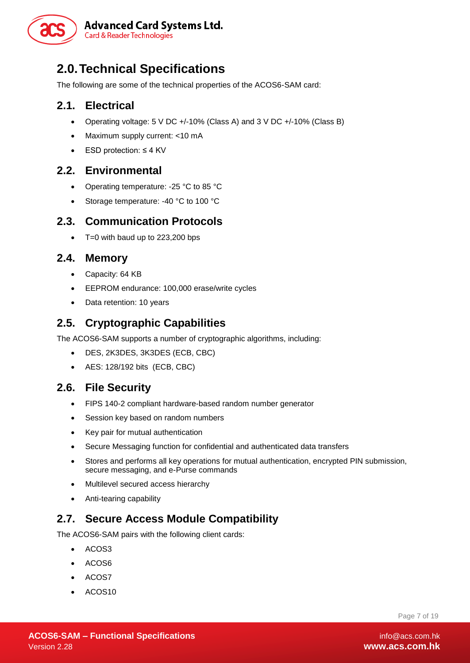

# <span id="page-6-0"></span>**2.0.Technical Specifications**

The following are some of the technical properties of the ACOS6-SAM card:

## <span id="page-6-1"></span>**2.1. Electrical**

- Operating voltage: 5 V DC +/-10% (Class A) and 3 V DC +/-10% (Class B)
- Maximum supply current: <10 mA
- ESD protection: ≤ 4 KV

#### <span id="page-6-2"></span>**2.2. Environmental**

- Operating temperature: -25 °C to 85 °C
- Storage temperature: -40 °C to 100 °C

#### <span id="page-6-3"></span>**2.3. Communication Protocols**

 $\bullet$  T=0 with baud up to 223,200 bps

#### <span id="page-6-4"></span>**2.4. Memory**

- Capacity: 64 KB
- EEPROM endurance: 100,000 erase/write cycles
- Data retention: 10 years

## <span id="page-6-5"></span>**2.5. Cryptographic Capabilities**

The ACOS6-SAM supports a number of cryptographic algorithms, including:

- DES, 2K3DES, 3K3DES (ECB, CBC)
- AES: 128/192 bits (ECB, CBC)

#### <span id="page-6-6"></span>**2.6. File Security**

- FIPS 140-2 compliant hardware-based random number generator
- Session key based on random numbers
- Key pair for mutual authentication
- Secure Messaging function for confidential and authenticated data transfers
- Stores and performs all key operations for mutual authentication, encrypted PIN submission, secure messaging, and e-Purse commands
- Multilevel secured access hierarchy
- Anti-tearing capability

## <span id="page-6-7"></span>**2.7. Secure Access Module Compatibility**

The ACOS6-SAM pairs with the following client cards:

- $\bullet$  ACOS3
- ACOS6
- ACOS7
- ACOS10

Page 7 of 19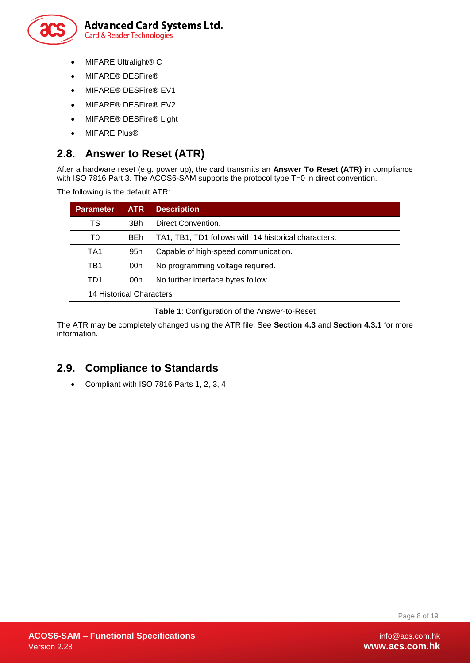

- MIFARE Ultralight® C
- MIFARE<sup>®</sup> DESFire<sup>®</sup>
- MIFARE® DESFire® EV1
- MIFARE® DESFire® EV2
- MIFARE<sup>®</sup> DESFire<sup>®</sup> Light
- MIFARE Plus®

## <span id="page-7-0"></span>**2.8. Answer to Reset (ATR)**

After a hardware reset (e.g. power up), the card transmits an **Answer To Reset (ATR)** in compliance with ISO 7816 Part 3. The ACOS6-SAM supports the protocol type T=0 in direct convention.

The following is the default ATR:

| <b>Parameter</b>         | <b>ATR</b>                                | <b>Description</b>                                   |  |  |  |  |
|--------------------------|-------------------------------------------|------------------------------------------------------|--|--|--|--|
| TS                       | 3Bh                                       | Direct Convention.                                   |  |  |  |  |
| T0                       | <b>BEh</b>                                | TA1, TB1, TD1 follows with 14 historical characters. |  |  |  |  |
| TA1                      | 95h                                       | Capable of high-speed communication.                 |  |  |  |  |
| TB1                      | 00h                                       | No programming voltage required.                     |  |  |  |  |
| TD1                      | No further interface bytes follow.<br>00h |                                                      |  |  |  |  |
| 14 Historical Characters |                                           |                                                      |  |  |  |  |

#### **Table 1**: Configuration of the Answer-to-Reset

<span id="page-7-2"></span>The ATR may be completely changed using the ATR file. See **Section [4.3](#page-10-2)** and **Section [4.3.1](#page-10-3)** for more information.

## <span id="page-7-1"></span>**2.9. Compliance to Standards**

Compliant with ISO 7816 Parts 1, 2, 3, 4

Page 8 of 19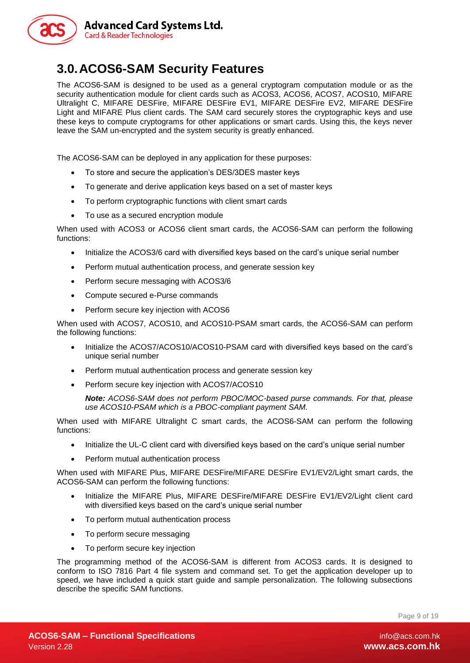

# <span id="page-8-0"></span>**3.0.ACOS6-SAM Security Features**

The ACOS6-SAM is designed to be used as a general cryptogram computation module or as the security authentication module for client cards such as ACOS3, ACOS6, ACOS7, ACOS10, MIFARE Ultralight C, MIFARE DESFire, MIFARE DESFire EV1, MIFARE DESFire EV2, MIFARE DESFire Light and MIFARE Plus client cards. The SAM card securely stores the cryptographic keys and use these keys to compute cryptograms for other applications or smart cards. Using this, the keys never leave the SAM un-encrypted and the system security is greatly enhanced.

The ACOS6-SAM can be deployed in any application for these purposes:

- To store and secure the application's DES/3DES master keys
- To generate and derive application keys based on a set of master keys
- To perform cryptographic functions with client smart cards
- To use as a secured encryption module

When used with ACOS3 or ACOS6 client smart cards, the ACOS6-SAM can perform the following functions:

- Initialize the ACOS3/6 card with diversified keys based on the card's unique serial number
- Perform mutual authentication process, and generate session key
- Perform secure messaging with ACOS3/6
- Compute secured e-Purse commands
- Perform secure key injection with ACOS6

When used with ACOS7, ACOS10, and ACOS10-PSAM smart cards, the ACOS6-SAM can perform the following functions:

- Initialize the ACOS7/ACOS10/ACOS10-PSAM card with diversified keys based on the card's unique serial number
- Perform mutual authentication process and generate session key
- Perform secure key injection with ACOS7/ACOS10

*Note: ACOS6-SAM does not perform PBOC/MOC-based purse commands. For that, please use ACOS10-PSAM which is a PBOC-compliant payment SAM.*

When used with MIFARE Ultralight C smart cards, the ACOS6-SAM can perform the following functions:

- Initialize the UL-C client card with diversified keys based on the card's unique serial number
- Perform mutual authentication process

When used with MIFARE Plus, MIFARE DESFire/MIFARE DESFire EV1/EV2/Light smart cards, the ACOS6-SAM can perform the following functions:

- Initialize the MIFARE Plus, MIFARE DESFire/MIFARE DESFire EV1/EV2/Light client card with diversified keys based on the card's unique serial number
- To perform mutual authentication process
- To perform secure messaging
- To perform secure key injection

The programming method of the ACOS6-SAM is different from ACOS3 cards. It is designed to conform to ISO 7816 Part 4 file system and command set. To get the application developer up to speed, we have included a quick start guide and sample personalization. The following subsections describe the specific SAM functions.

Page 9 of 19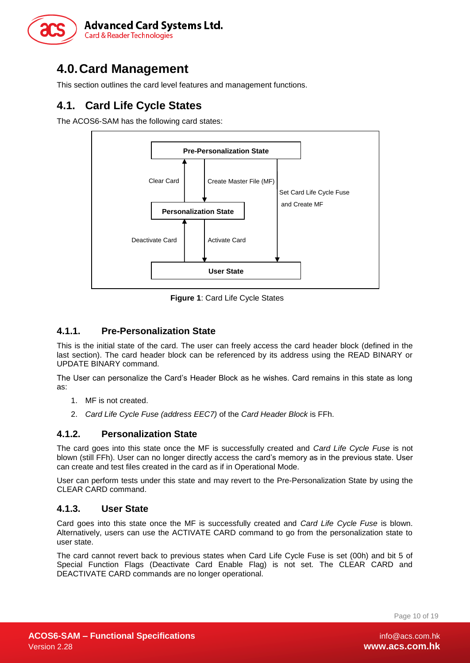

# <span id="page-9-0"></span>**4.0.Card Management**

This section outlines the card level features and management functions.

# <span id="page-9-1"></span>**4.1. Card Life Cycle States**

The ACOS6-SAM has the following card states:



**Figure 1**: Card Life Cycle States

#### <span id="page-9-5"></span><span id="page-9-2"></span>**4.1.1. Pre-Personalization State**

This is the initial state of the card. The user can freely access the card header block (defined in the last section). The card header block can be referenced by its address using the READ BINARY or UPDATE BINARY command.

The User can personalize the Card's Header Block as he wishes. Card remains in this state as long as:

- 1. MF is not created.
- 2. *Card Life Cycle Fuse (address EEC7)* of the *Card Header Block* is FFh.

#### <span id="page-9-3"></span>**4.1.2. Personalization State**

The card goes into this state once the MF is successfully created and *Card Life Cycle Fuse* is not blown (still FFh). User can no longer directly access the card's memory as in the previous state. User can create and test files created in the card as if in Operational Mode.

User can perform tests under this state and may revert to the Pre-Personalization State by using the CLEAR CARD command.

#### <span id="page-9-4"></span>**4.1.3. User State**

Card goes into this state once the MF is successfully created and *Card Life Cycle Fuse* is blown. Alternatively, users can use the ACTIVATE CARD command to go from the personalization state to user state.

The card cannot revert back to previous states when Card Life Cycle Fuse is set (00h) and bit 5 of Special Function Flags (Deactivate Card Enable Flag) is not set. The CLEAR CARD and DEACTIVATE CARD commands are no longer operational.

Page 10 of 19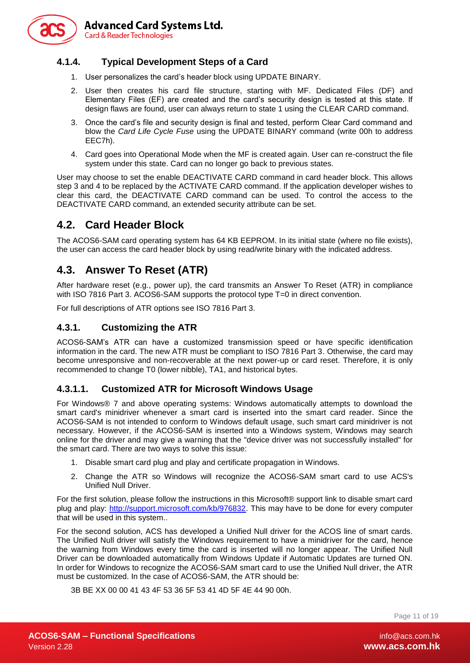

#### <span id="page-10-0"></span>**4.1.4. Typical Development Steps of a Card**

- 1. User personalizes the card's header block using UPDATE BINARY.
- 2. User then creates his card file structure, starting with MF. Dedicated Files (DF) and Elementary Files (EF) are created and the card's security design is tested at this state. If design flaws are found, user can always return to state 1 using the CLEAR CARD command.
- 3. Once the card's file and security design is final and tested, perform Clear Card command and blow the *Card Life Cycle Fuse* using the UPDATE BINARY command (write 00h to address EEC7h).
- 4. Card goes into Operational Mode when the MF is created again. User can re-construct the file system under this state. Card can no longer go back to previous states.

User may choose to set the enable DEACTIVATE CARD command in card header block. This allows step 3 and 4 to be replaced by the ACTIVATE CARD command. If the application developer wishes to clear this card, the DEACTIVATE CARD command can be used. To control the access to the DEACTIVATE CARD command, an extended security attribute can be set.

## <span id="page-10-1"></span>**4.2. Card Header Block**

The ACOS6-SAM card operating system has 64 KB EEPROM. In its initial state (where no file exists), the user can access the card header block by using read/write binary with the indicated address.

## <span id="page-10-2"></span>**4.3. Answer To Reset (ATR)**

After hardware reset (e.g., power up), the card transmits an Answer To Reset (ATR) in compliance with ISO 7816 Part 3. ACOS6-SAM supports the protocol type T=0 in direct convention.

For full descriptions of ATR options see ISO 7816 Part 3.

#### <span id="page-10-3"></span>**4.3.1. Customizing the ATR**

ACOS6-SAM's ATR can have a customized transmission speed or have specific identification information in the card. The new ATR must be compliant to ISO 7816 Part 3. Otherwise, the card may become unresponsive and non-recoverable at the next power-up or card reset. Therefore, it is only recommended to change T0 (lower nibble), TA1, and historical bytes.

#### **4.3.1.1. Customized ATR for Microsoft Windows Usage**

For Windows® 7 and above operating systems: Windows automatically attempts to download the smart card's minidriver whenever a smart card is inserted into the smart card reader. Since the ACOS6-SAM is not intended to conform to Windows default usage, such smart card minidriver is not necessary. However, if the ACOS6-SAM is inserted into a Windows system, Windows may search online for the driver and may give a warning that the "device driver was not successfully installed" for the smart card. There are two ways to solve this issue:

- 1. Disable smart card plug and play and certificate propagation in Windows.
- 2. Change the ATR so Windows will recognize the ACOS6-SAM smart card to use ACS's Unified Null Driver.

For the first solution, please follow the instructions in this Microsoft® support link to disable smart card plug and play: [http://support.microsoft.com/kb/976832.](http://support.microsoft.com/kb/976832) This may have to be done for every computer that will be used in this system..

For the second solution, ACS has developed a Unified Null driver for the ACOS line of smart cards. The Unified Null driver will satisfy the Windows requirement to have a minidriver for the card, hence the warning from Windows every time the card is inserted will no longer appear. The Unified Null Driver can be downloaded automatically from Windows Update if Automatic Updates are turned ON. In order for Windows to recognize the ACOS6-SAM smart card to use the Unified Null driver, the ATR must be customized. In the case of ACOS6-SAM, the ATR should be:

3B BE XX 00 00 41 43 4F 53 36 5F 53 41 4D 5F 4E 44 90 00h.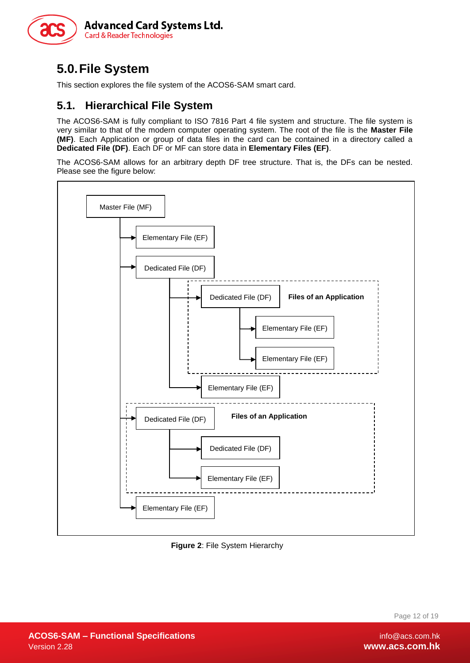

# <span id="page-11-0"></span>**5.0.File System**

This section explores the file system of the ACOS6-SAM smart card.

## <span id="page-11-1"></span>**5.1. Hierarchical File System**

The ACOS6-SAM is fully compliant to ISO 7816 Part 4 file system and structure. The file system is very similar to that of the modern computer operating system. The root of the file is the **Master File (MF)**. Each Application or group of data files in the card can be contained in a directory called a **Dedicated File (DF)**. Each DF or MF can store data in **Elementary Files (EF)**.

The ACOS6-SAM allows for an arbitrary depth DF tree structure. That is, the DFs can be nested. Please see the figure below:



<span id="page-11-2"></span>**Figure 2**: File System Hierarchy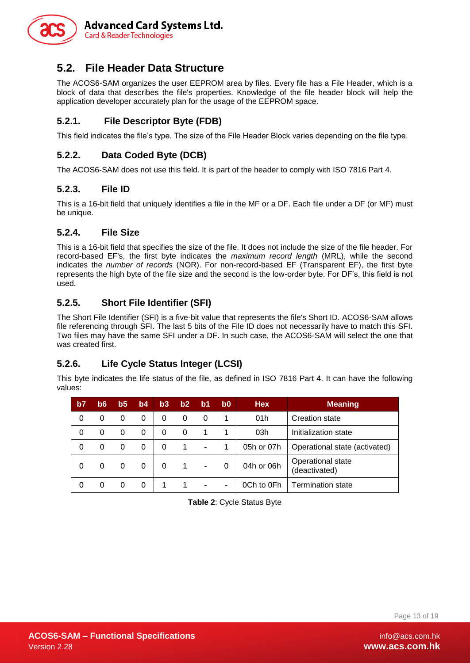

## <span id="page-12-0"></span>**5.2. File Header Data Structure**

The ACOS6-SAM organizes the user EEPROM area by files. Every file has a File Header, which is a block of data that describes the file's properties. Knowledge of the file header block will help the application developer accurately plan for the usage of the EEPROM space.

#### <span id="page-12-1"></span>**5.2.1. File Descriptor Byte (FDB)**

This field indicates the file's type. The size of the File Header Block varies depending on the file type.

#### <span id="page-12-2"></span>**5.2.2. Data Coded Byte (DCB)**

The ACOS6-SAM does not use this field. It is part of the header to comply with ISO 7816 Part 4.

#### <span id="page-12-3"></span>**5.2.3. File ID**

This is a 16-bit field that uniquely identifies a file in the MF or a DF. Each file under a DF (or MF) must be unique.

#### <span id="page-12-4"></span>**5.2.4. File Size**

This is a 16-bit field that specifies the size of the file. It does not include the size of the file header. For record-based EF's, the first byte indicates the *maximum record length* (MRL), while the second indicates the *number of records* (NOR). For non-record-based EF (Transparent EF), the first byte represents the high byte of the file size and the second is the low-order byte. For DF's, this field is not used.

#### <span id="page-12-5"></span>**5.2.5. Short File Identifier (SFI)**

The Short File Identifier (SFI) is a five-bit value that represents the file's Short ID. ACOS6-SAM allows file referencing through SFI. The last 5 bits of the File ID does not necessarily have to match this SFI. Two files may have the same SFI under a DF. In such case, the ACOS6-SAM will select the one that was created first.

#### <span id="page-12-6"></span>**5.2.6. Life Cycle Status Integer (LCSI)**

This byte indicates the life status of the file, as defined in ISO 7816 Part 4. It can have the following values:

<span id="page-12-7"></span>

| b7 | b6 | b5 | b4 | b3 | b2 | b1 | b0     | <b>Hex</b> | <b>Meaning</b>                     |
|----|----|----|----|----|----|----|--------|------------|------------------------------------|
| 0  | 0  | 0  | 0  | 0  | 0  |    | 1      | 01h        | <b>Creation state</b>              |
| 0  | 0  | 0  | 0  | 0  | 0  |    |        | 03h        | Initialization state               |
| 0  | 0  | 0  | 0  | 0  |    | -  |        | 05h or 07h | Operational state (activated)      |
| 0  | 0  | 0  | 0  | 0  |    | ۰  |        | 04h or 06h | Operational state<br>(deactivated) |
| 0  |    | 0  | 0  |    |    |    | $\sim$ | 0Ch to 0Fh | <b>Termination state</b>           |

**Table 2**: Cycle Status Byte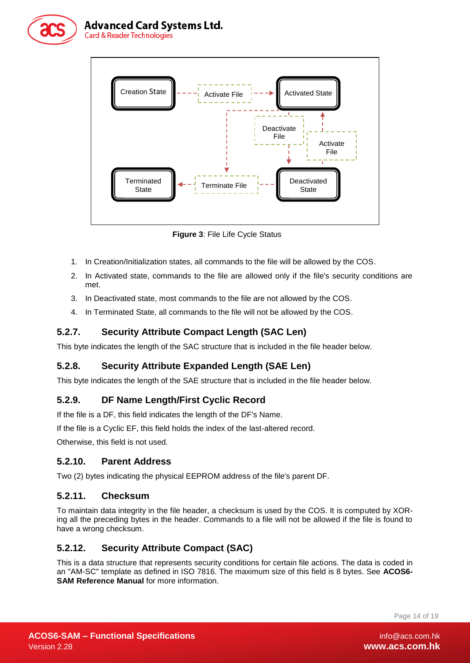

#### **Advanced Card Systems Ltd. Card & Reader Technologies**



**Figure 3**: File Life Cycle Status

- <span id="page-13-6"></span>1. In Creation/Initialization states, all commands to the file will be allowed by the COS.
- 2. In Activated state, commands to the file are allowed only if the file's security conditions are met.
- 3. In Deactivated state, most commands to the file are not allowed by the COS.
- 4. In Terminated State, all commands to the file will not be allowed by the COS.

#### <span id="page-13-0"></span>**5.2.7. Security Attribute Compact Length (SAC Len)**

This byte indicates the length of the SAC structure that is included in the file header below.

#### <span id="page-13-1"></span>**5.2.8. Security Attribute Expanded Length (SAE Len)**

This byte indicates the length of the SAE structure that is included in the file header below.

#### <span id="page-13-2"></span>**5.2.9. DF Name Length/First Cyclic Record**

If the file is a DF, this field indicates the length of the DF's Name.

If the file is a Cyclic EF, this field holds the index of the last-altered record.

Otherwise, this field is not used.

#### <span id="page-13-3"></span>**5.2.10. Parent Address**

Two (2) bytes indicating the physical EEPROM address of the file's parent DF.

#### <span id="page-13-4"></span>**5.2.11. Checksum**

To maintain data integrity in the file header, a checksum is used by the COS. It is computed by XORing all the preceding bytes in the header. Commands to a file will not be allowed if the file is found to have a wrong checksum.

#### <span id="page-13-5"></span>**5.2.12. Security Attribute Compact (SAC)**

This is a data structure that represents security conditions for certain file actions. The data is coded in an "AM-SC" template as defined in ISO 7816. The maximum size of this field is 8 bytes. See **ACOS6- SAM Reference Manual** for more information.

Page 14 of 19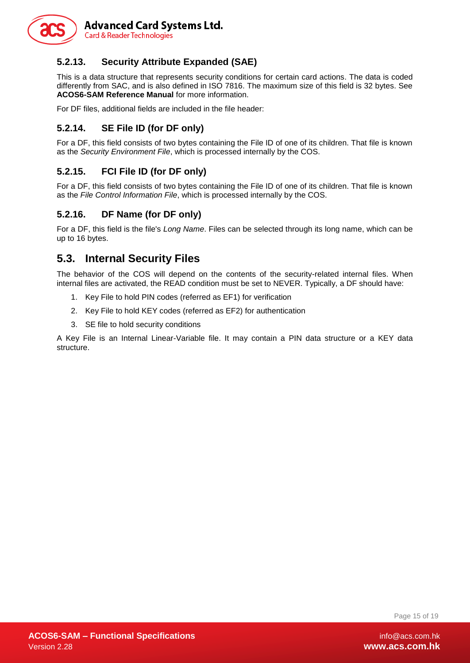

#### <span id="page-14-0"></span>**5.2.13. Security Attribute Expanded (SAE)**

This is a data structure that represents security conditions for certain card actions. The data is coded differently from SAC, and is also defined in ISO 7816. The maximum size of this field is 32 bytes. See **ACOS6-SAM Reference Manual** for more information.

For DF files, additional fields are included in the file header:

#### <span id="page-14-1"></span>**5.2.14. SE File ID (for DF only)**

For a DF, this field consists of two bytes containing the File ID of one of its children. That file is known as the *Security Environment File*, which is processed internally by the COS.

#### <span id="page-14-2"></span>**5.2.15. FCI File ID (for DF only)**

For a DF, this field consists of two bytes containing the File ID of one of its children. That file is known as the *File Control Information File*, which is processed internally by the COS.

#### <span id="page-14-3"></span>**5.2.16. DF Name (for DF only)**

For a DF, this field is the file's *Long Name*. Files can be selected through its long name, which can be up to 16 bytes.

#### <span id="page-14-4"></span>**5.3. Internal Security Files**

The behavior of the COS will depend on the contents of the security-related internal files. When internal files are activated, the READ condition must be set to NEVER. Typically, a DF should have:

- 1. Key File to hold PIN codes (referred as EF1) for verification
- 2. Key File to hold KEY codes (referred as EF2) for authentication
- 3. SE file to hold security conditions

A Key File is an Internal Linear-Variable file. It may contain a PIN data structure or a KEY data structure.

Page 15 of 19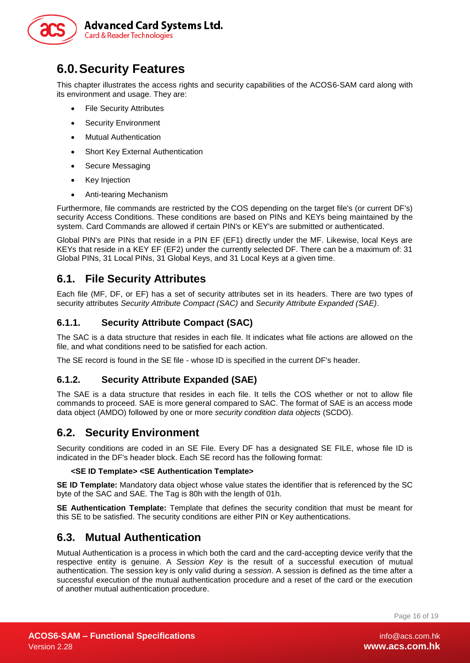

# <span id="page-15-0"></span>**6.0.Security Features**

This chapter illustrates the access rights and security capabilities of the ACOS6-SAM card along with its environment and usage. They are:

- File Security Attributes
- Security Environment
- Mutual Authentication
- Short Key External Authentication
- Secure Messaging
- Key Injection
- Anti-tearing Mechanism

Furthermore, file commands are restricted by the COS depending on the target file's (or current DF's) security Access Conditions. These conditions are based on PINs and KEYs being maintained by the system. Card Commands are allowed if certain PIN's or KEY's are submitted or authenticated.

Global PIN's are PINs that reside in a PIN EF (EF1) directly under the MF. Likewise, local Keys are KEYs that reside in a KEY EF (EF2) under the currently selected DF. There can be a maximum of: 31 Global PINs, 31 Local PINs, 31 Global Keys, and 31 Local Keys at a given time.

#### <span id="page-15-1"></span>**6.1. File Security Attributes**

Each file (MF, DF, or EF) has a set of security attributes set in its headers. There are two types of security attributes *Security Attribute Compact (SAC)* and *Security Attribute Expanded (SAE)*.

#### <span id="page-15-2"></span>**6.1.1. Security Attribute Compact (SAC)**

The SAC is a data structure that resides in each file. It indicates what file actions are allowed on the file, and what conditions need to be satisfied for each action.

<span id="page-15-3"></span>The SE record is found in the SE file - whose ID is specified in the current DF's header.

#### **6.1.2. Security Attribute Expanded (SAE)**

The SAE is a data structure that resides in each file. It tells the COS whether or not to allow file commands to proceed. SAE is more general compared to SAC. The format of SAE is an access mode data object (AMDO) followed by one or more *security condition data objects* (SCDO).

#### <span id="page-15-4"></span>**6.2. Security Environment**

Security conditions are coded in an SE File. Every DF has a designated SE FILE, whose file ID is indicated in the DF's header block. Each SE record has the following format:

#### **<SE ID Template> <SE Authentication Template>**

**SE ID Template:** Mandatory data object whose value states the identifier that is referenced by the SC byte of the SAC and SAE. The Tag is 80h with the length of 01h.

**SE Authentication Template:** Template that defines the security condition that must be meant for this SE to be satisfied. The security conditions are either PIN or Key authentications.

#### <span id="page-15-5"></span>**6.3. Mutual Authentication**

Mutual Authentication is a process in which both the card and the card-accepting device verify that the respective entity is genuine. A *Session Key* is the result of a successful execution of mutual authentication. The session key is only valid during a *session*. A session is defined as the time after a successful execution of the mutual authentication procedure and a reset of the card or the execution of another mutual authentication procedure.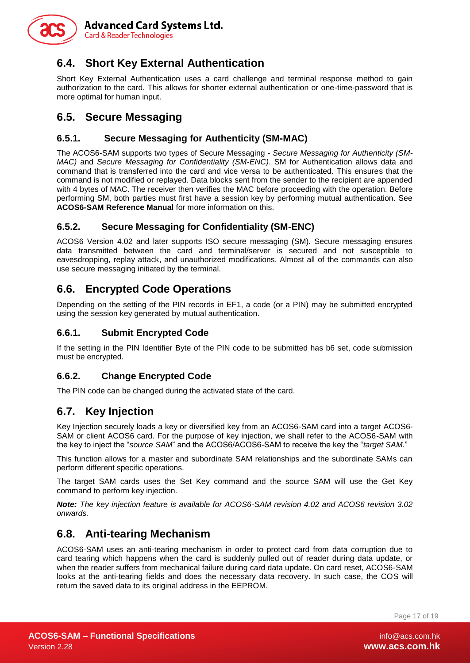

# <span id="page-16-0"></span>**6.4. Short Key External Authentication**

Short Key External Authentication uses a card challenge and terminal response method to gain authorization to the card. This allows for shorter external authentication or one-time-password that is more optimal for human input.

## <span id="page-16-1"></span>**6.5. Secure Messaging**

#### <span id="page-16-2"></span>**6.5.1. Secure Messaging for Authenticity (SM-MAC)**

The ACOS6-SAM supports two types of Secure Messaging - *Secure Messaging for Authenticity (SM-MAC)* and *Secure Messaging for Confidentiality (SM-ENC)*. SM for Authentication allows data and command that is transferred into the card and vice versa to be authenticated. This ensures that the command is not modified or replayed. Data blocks sent from the sender to the recipient are appended with 4 bytes of MAC. The receiver then verifies the MAC before proceeding with the operation. Before performing SM, both parties must first have a session key by performing mutual authentication. See **ACOS6-SAM Reference Manual** for more information on this.

#### <span id="page-16-3"></span>**6.5.2. Secure Messaging for Confidentiality (SM-ENC)**

ACOS6 Version 4.02 and later supports ISO secure messaging (SM). Secure messaging ensures data transmitted between the card and terminal/server is secured and not susceptible to eavesdropping, replay attack, and unauthorized modifications. Almost all of the commands can also use secure messaging initiated by the terminal.

# <span id="page-16-4"></span>**6.6. Encrypted Code Operations**

Depending on the setting of the PIN records in EF1, a code (or a PIN) may be submitted encrypted using the session key generated by mutual authentication.

#### <span id="page-16-5"></span>**6.6.1. Submit Encrypted Code**

If the setting in the PIN Identifier Byte of the PIN code to be submitted has b6 set, code submission must be encrypted.

#### <span id="page-16-6"></span>**6.6.2. Change Encrypted Code**

The PIN code can be changed during the activated state of the card.

## <span id="page-16-7"></span>**6.7. Key Injection**

Key Injection securely loads a key or diversified key from an ACOS6-SAM card into a target ACOS6- SAM or client ACOS6 card. For the purpose of key injection, we shall refer to the ACOS6-SAM with the key to inject the "*source SAM*" and the ACOS6/ACOS6-SAM to receive the key the "*target SAM.*"

This function allows for a master and subordinate SAM relationships and the subordinate SAMs can perform different specific operations.

The target SAM cards uses the Set Key command and the source SAM will use the Get Key command to perform key injection.

*Note: The key injection feature is available for ACOS6-SAM revision 4.02 and ACOS6 revision 3.02 onwards.*

## <span id="page-16-8"></span>**6.8. Anti-tearing Mechanism**

ACOS6-SAM uses an anti-tearing mechanism in order to protect card from data corruption due to card tearing which happens when the card is suddenly pulled out of reader during data update, or when the reader suffers from mechanical failure during card data update. On card reset, ACOS6-SAM looks at the anti-tearing fields and does the necessary data recovery. In such case, the COS will return the saved data to its original address in the EEPROM.

Page 17 of 19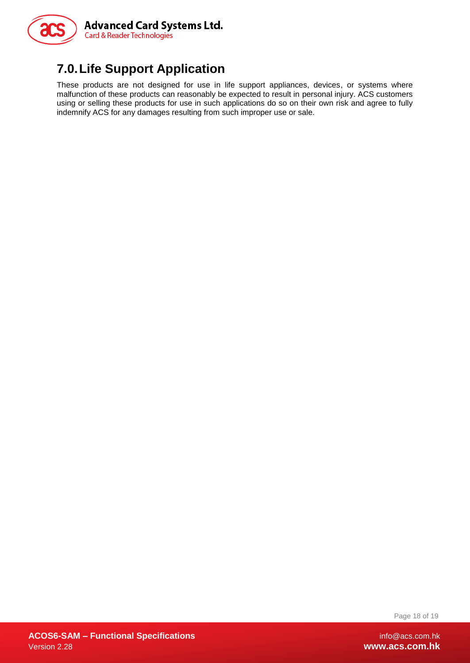

# <span id="page-17-0"></span>**7.0.Life Support Application**

These products are not designed for use in life support appliances, devices, or systems where malfunction of these products can reasonably be expected to result in personal injury. ACS customers using or selling these products for use in such applications do so on their own risk and agree to fully indemnify ACS for any damages resulting from such improper use or sale.

Page 18 of 19